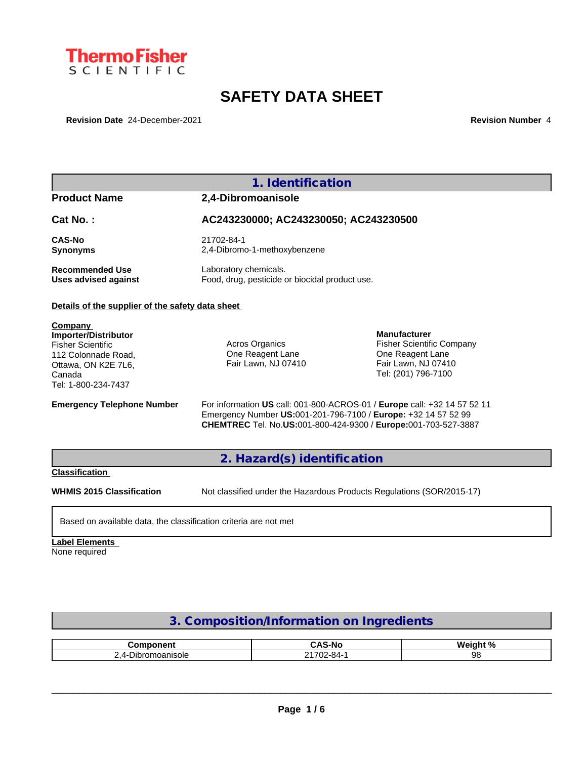

# **SAFETY DATA SHEET**

**Revision Date** 24-December-2021 **Revision Number** 4

|                                                                                                                                                   | 1. Identification                                                       |                                                                                                                                                   |  |  |
|---------------------------------------------------------------------------------------------------------------------------------------------------|-------------------------------------------------------------------------|---------------------------------------------------------------------------------------------------------------------------------------------------|--|--|
| <b>Product Name</b>                                                                                                                               | 2,4-Dibromoanisole                                                      |                                                                                                                                                   |  |  |
| Cat No.:                                                                                                                                          | AC243230000; AC243230050; AC243230500                                   |                                                                                                                                                   |  |  |
| <b>CAS-No</b><br><b>Synonyms</b>                                                                                                                  | 21702-84-1<br>2,4-Dibromo-1-methoxybenzene                              |                                                                                                                                                   |  |  |
| <b>Recommended Use</b><br><b>Uses advised against</b>                                                                                             | Laboratory chemicals.<br>Food, drug, pesticide or biocidal product use. |                                                                                                                                                   |  |  |
| Details of the supplier of the safety data sheet                                                                                                  |                                                                         |                                                                                                                                                   |  |  |
| Company<br><b>Importer/Distributor</b><br><b>Fisher Scientific</b><br>112 Colonnade Road,<br>Ottawa, ON K2E 7L6,<br>Canada<br>Tel: 1-800-234-7437 | Acros Organics<br>One Reagent Lane<br>Fair Lawn, NJ 07410               | <b>Manufacturer</b><br><b>Fisher Scientific Company</b><br>One Reagent Lane<br>Fair Lawn, NJ 07410<br>Tel: (201) 796-7100                         |  |  |
| <b>Emergency Telephone Number</b>                                                                                                                 | Emergency Number US:001-201-796-7100 / Europe: +32 14 57 52 99          | For information US call: 001-800-ACROS-01 / Europe call: +32 14 57 52 11<br><b>CHEMTREC</b> Tel. No.US:001-800-424-9300 / Europe:001-703-527-3887 |  |  |
|                                                                                                                                                   | 2. Hazard(s) identification                                             |                                                                                                                                                   |  |  |
| <b>Classification</b>                                                                                                                             |                                                                         |                                                                                                                                                   |  |  |
| <b>WHMIS 2015 Classification</b>                                                                                                                  | Not classified under the Hazardous Products Regulations (SOR/2015-17)   |                                                                                                                                                   |  |  |

## Based on available data, the classification criteria are not met

# **Label Elements**

None required

# **3. Composition/Information on Ingredients**

| <b>THE REPORT OF STRAIN</b><br>nm.<br>m | r v c<br>-No<br>. .                           | Wainh<br>1. N / |
|-----------------------------------------|-----------------------------------------------|-----------------|
| )ır<br>*omoanisoie<br>,,,<br>.          | $\overline{\phantom{a}}$<br>ີ<br>84<br>u<br>ີ | o.              |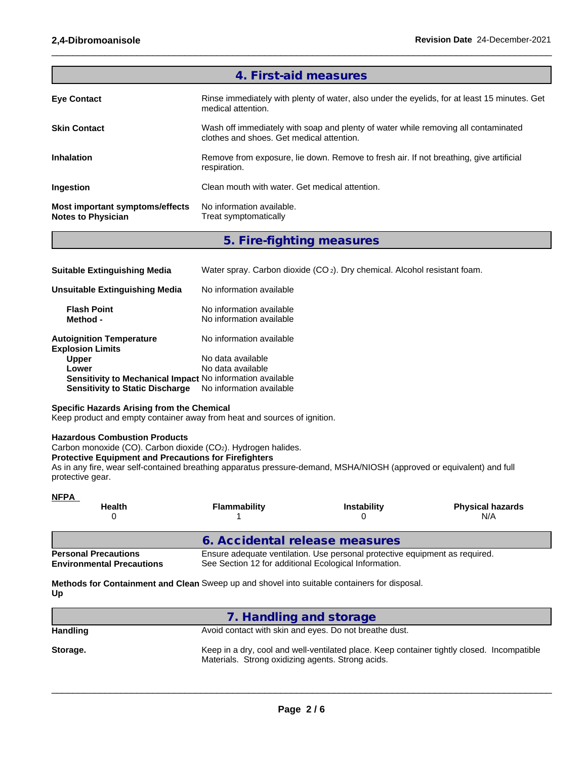| 4. First-aid measures                                               |                                                                                                                                 |  |  |  |  |
|---------------------------------------------------------------------|---------------------------------------------------------------------------------------------------------------------------------|--|--|--|--|
| <b>Eye Contact</b>                                                  | Rinse immediately with plenty of water, also under the eyelids, for at least 15 minutes. Get<br>medical attention.              |  |  |  |  |
| <b>Skin Contact</b>                                                 | Wash off immediately with soap and plenty of water while removing all contaminated<br>clothes and shoes. Get medical attention. |  |  |  |  |
| <b>Inhalation</b>                                                   | Remove from exposure, lie down. Remove to fresh air. If not breathing, give artificial<br>respiration.                          |  |  |  |  |
| <b>Ingestion</b>                                                    | Clean mouth with water. Get medical attention.                                                                                  |  |  |  |  |
| <b>Most important symptoms/effects</b><br><b>Notes to Physician</b> | No information available.<br>Treat symptomatically                                                                              |  |  |  |  |

 $\_$  ,  $\_$  ,  $\_$  ,  $\_$  ,  $\_$  ,  $\_$  ,  $\_$  ,  $\_$  ,  $\_$  ,  $\_$  ,  $\_$  ,  $\_$  ,  $\_$  ,  $\_$  ,  $\_$  ,  $\_$  ,  $\_$  ,  $\_$  ,  $\_$  ,  $\_$  ,  $\_$  ,  $\_$  ,  $\_$  ,  $\_$  ,  $\_$  ,  $\_$  ,  $\_$  ,  $\_$  ,  $\_$  ,  $\_$  ,  $\_$  ,  $\_$  ,  $\_$  ,  $\_$  ,  $\_$  ,  $\_$  ,  $\_$  ,

**5. Fire-fighting measures**

| <b>Suitable Extinguishing Media</b>                        | Water spray. Carbon dioxide $(CO_2)$ . Dry chemical. Alcohol resistant foam. |
|------------------------------------------------------------|------------------------------------------------------------------------------|
| Unsuitable Extinguishing Media                             | No information available                                                     |
| <b>Flash Point</b><br>Method -                             | No information available<br>No information available                         |
| <b>Autoignition Temperature</b><br><b>Explosion Limits</b> | No information available                                                     |
| <b>Upper</b>                                               | No data available                                                            |
| Lower                                                      | No data available                                                            |
| Sensitivity to Mechanical Impact No information available  |                                                                              |
| <b>Sensitivity to Static Discharge</b>                     | No information available                                                     |

## **Specific Hazards Arising from the Chemical**

Keep product and empty container away from heat and sources of ignition.

## **Hazardous Combustion Products**

Carbon monoxide (CO). Carbon dioxide (CO2). Hydrogen halides.

## **Protective Equipment and Precautions for Firefighters**

As in any fire, wear self-contained breathing apparatus pressure-demand, MSHA/NIOSH (approved or equivalent) and full protective gear.

| <b>NFPA</b><br><b>Health</b>                                    | <b>Flammability</b>                                   | <b>Instability</b>                                                          | <b>Physical hazards</b><br>N/A |
|-----------------------------------------------------------------|-------------------------------------------------------|-----------------------------------------------------------------------------|--------------------------------|
|                                                                 | 6. Accidental release measures                        |                                                                             |                                |
| <b>Personal Precautions</b><br><b>Environmental Precautions</b> | See Section 12 for additional Ecological Information. | Ensure adequate ventilation. Use personal protective equipment as required. |                                |

**Methods for Containment and Clean** Sweep up and shovel into suitable containers for disposal. **Up**

|                 | 7. Handling and storage                                                                                                                         |
|-----------------|-------------------------------------------------------------------------------------------------------------------------------------------------|
| <b>Handling</b> | Avoid contact with skin and eyes. Do not breathe dust.                                                                                          |
| Storage.        | Keep in a dry, cool and well-ventilated place. Keep container tightly closed. Incompatible<br>Materials. Strong oxidizing agents. Strong acids. |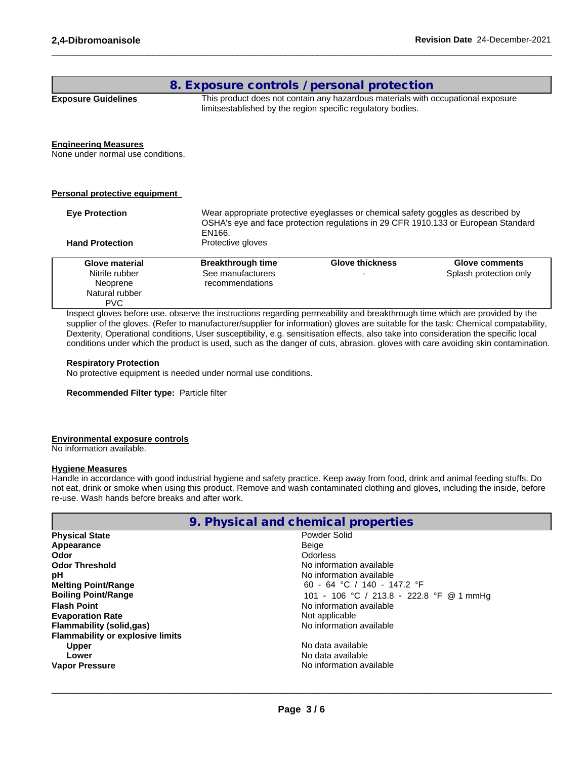## **8. Exposure controls / personal protection**

**Exposure Guidelines** This product does not contain any hazardous materials with occupational exposure limitsestablished by the region specific regulatory bodies.

 $\_$  ,  $\_$  ,  $\_$  ,  $\_$  ,  $\_$  ,  $\_$  ,  $\_$  ,  $\_$  ,  $\_$  ,  $\_$  ,  $\_$  ,  $\_$  ,  $\_$  ,  $\_$  ,  $\_$  ,  $\_$  ,  $\_$  ,  $\_$  ,  $\_$  ,  $\_$  ,  $\_$  ,  $\_$  ,  $\_$  ,  $\_$  ,  $\_$  ,  $\_$  ,  $\_$  ,  $\_$  ,  $\_$  ,  $\_$  ,  $\_$  ,  $\_$  ,  $\_$  ,  $\_$  ,  $\_$  ,  $\_$  ,  $\_$  ,

#### **Engineering Measures**

None under normal use conditions.

#### **Personal protective equipment**

| Wear appropriate protective eyeglasses or chemical safety goggles as described by<br><b>Eye Protection</b><br>OSHA's eye and face protection regulations in 29 CFR 1910.133 or European Standard<br>EN166. |                          |                        |                        |  |  |
|------------------------------------------------------------------------------------------------------------------------------------------------------------------------------------------------------------|--------------------------|------------------------|------------------------|--|--|
| <b>Hand Protection</b>                                                                                                                                                                                     | Protective gloves        |                        |                        |  |  |
| Glove material                                                                                                                                                                                             | <b>Breakthrough time</b> | <b>Glove thickness</b> | Glove comments         |  |  |
| Nitrile rubber                                                                                                                                                                                             | See manufacturers        |                        | Splash protection only |  |  |
| Neoprene                                                                                                                                                                                                   | recommendations          |                        |                        |  |  |
| Natural rubber                                                                                                                                                                                             |                          |                        |                        |  |  |
| <b>PVC</b>                                                                                                                                                                                                 |                          |                        |                        |  |  |

Inspect gloves before use. observe the instructions regarding permeability and breakthrough time which are provided by the supplier of the gloves. (Refer to manufacturer/supplier for information) gloves are suitable for the task: Chemical compatability, Dexterity, Operational conditions, User susceptibility, e.g. sensitisation effects, also take into consideration the specific local conditions under which the product is used, such as the danger of cuts, abrasion. gloves with care avoiding skin contamination.

#### **Respiratory Protection**

No protective equipment is needed under normal use conditions.

**Recommended Filter type:** Particle filter

### **Environmental exposure controls**

No information available.

#### **Hygiene Measures**

Handle in accordance with good industrial hygiene and safety practice. Keep away from food, drink and animal feeding stuffs. Do not eat, drink or smoke when using this product. Remove and wash contaminated clothing and gloves, including the inside, before re-use. Wash hands before breaks and after work.

| 9. Physical and chemical properties     |                                          |  |  |  |
|-----------------------------------------|------------------------------------------|--|--|--|
| <b>Physical State</b>                   | Powder Solid                             |  |  |  |
| Appearance                              | Beige                                    |  |  |  |
| Odor                                    | <b>Odorless</b>                          |  |  |  |
| <b>Odor Threshold</b>                   | No information available                 |  |  |  |
| рH                                      | No information available                 |  |  |  |
| <b>Melting Point/Range</b>              | 60 - 64 °C / 140 - 147.2 °F              |  |  |  |
| <b>Boiling Point/Range</b>              | 101 - 106 °C / 213.8 - 222.8 °F @ 1 mmHg |  |  |  |
| <b>Flash Point</b>                      | No information available                 |  |  |  |
| <b>Evaporation Rate</b>                 | Not applicable                           |  |  |  |
| <b>Flammability (solid,gas)</b>         | No information available                 |  |  |  |
| <b>Flammability or explosive limits</b> |                                          |  |  |  |
| <b>Upper</b>                            | No data available                        |  |  |  |
| Lower                                   | No data available                        |  |  |  |
| <b>Vapor Pressure</b>                   | No information available                 |  |  |  |
|                                         |                                          |  |  |  |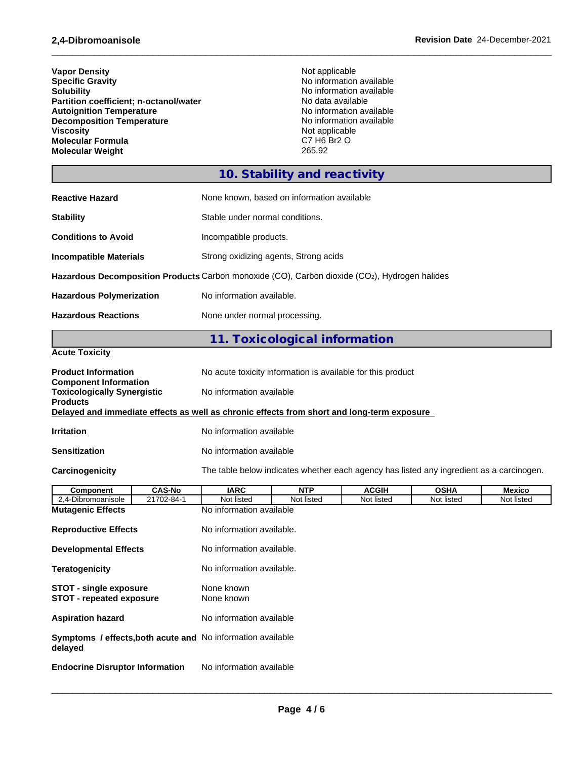| <b>Vapor Density</b>                   | Not applicable           |  |
|----------------------------------------|--------------------------|--|
| <b>Specific Gravity</b>                | No information available |  |
| <b>Solubility</b>                      | No information available |  |
| Partition coefficient; n-octanol/water | No data available        |  |
| <b>Autoignition Temperature</b>        | No information available |  |
| <b>Decomposition Temperature</b>       | No information available |  |
| <b>Viscosity</b>                       | Not applicable           |  |
| <b>Molecular Formula</b>               | C7 H6 Br2 O              |  |
| <b>Molecular Weight</b>                | 265.92                   |  |

 $\_$  ,  $\_$  ,  $\_$  ,  $\_$  ,  $\_$  ,  $\_$  ,  $\_$  ,  $\_$  ,  $\_$  ,  $\_$  ,  $\_$  ,  $\_$  ,  $\_$  ,  $\_$  ,  $\_$  ,  $\_$  ,  $\_$  ,  $\_$  ,  $\_$  ,  $\_$  ,  $\_$  ,  $\_$  ,  $\_$  ,  $\_$  ,  $\_$  ,  $\_$  ,  $\_$  ,  $\_$  ,  $\_$  ,  $\_$  ,  $\_$  ,  $\_$  ,  $\_$  ,  $\_$  ,  $\_$  ,  $\_$  ,  $\_$  ,

# **10. Stability and reactivity**

| <b>Reactive Hazard</b>          | None known, based on information available                                                    |  |  |  |
|---------------------------------|-----------------------------------------------------------------------------------------------|--|--|--|
| <b>Stability</b>                | Stable under normal conditions.                                                               |  |  |  |
| <b>Conditions to Avoid</b>      | Incompatible products.                                                                        |  |  |  |
| <b>Incompatible Materials</b>   | Strong oxidizing agents, Strong acids                                                         |  |  |  |
|                                 | Hazardous Decomposition Products Carbon monoxide (CO), Carbon dioxide (CO2), Hydrogen halides |  |  |  |
| <b>Hazardous Polymerization</b> | No information available.                                                                     |  |  |  |
| <b>Hazardous Reactions</b>      | None under normal processing.                                                                 |  |  |  |

# **11. Toxicological information**

## **Acute Toxicity**

| <b>Product Information</b>                                                                 |               | No acute toxicity information is available for this product |                                                                                          |              |             |               |  |
|--------------------------------------------------------------------------------------------|---------------|-------------------------------------------------------------|------------------------------------------------------------------------------------------|--------------|-------------|---------------|--|
| <b>Component Information</b><br><b>Toxicologically Synergistic</b><br><b>Products</b>      |               | No information available                                    |                                                                                          |              |             |               |  |
| Delayed and immediate effects as well as chronic effects from short and long-term exposure |               |                                                             |                                                                                          |              |             |               |  |
| <b>Irritation</b>                                                                          |               | No information available                                    |                                                                                          |              |             |               |  |
| <b>Sensitization</b>                                                                       |               | No information available                                    |                                                                                          |              |             |               |  |
| Carcinogenicity                                                                            |               |                                                             | The table below indicates whether each agency has listed any ingredient as a carcinogen. |              |             |               |  |
| Component                                                                                  | <b>CAS-No</b> | <b>IARC</b>                                                 | <b>NTP</b>                                                                               | <b>ACGIH</b> | <b>OSHA</b> | <b>Mexico</b> |  |
| 2.4 Dibromonnicale                                                                         | 21702944      | Not lieted                                                  | Not lieted                                                                               | Not lieted   | Not lieted  | Not lieted    |  |

| 21702-84-1<br>2,4-Dibromoanisole                                       | Not listed                | Not listed | Not listed | Not listed | Not listed |  |
|------------------------------------------------------------------------|---------------------------|------------|------------|------------|------------|--|
| <b>Mutagenic Effects</b>                                               | No information available  |            |            |            |            |  |
| <b>Reproductive Effects</b>                                            | No information available. |            |            |            |            |  |
| <b>Developmental Effects</b>                                           | No information available. |            |            |            |            |  |
| <b>Teratogenicity</b>                                                  | No information available. |            |            |            |            |  |
| <b>STOT - single exposure</b><br><b>STOT - repeated exposure</b>       | None known<br>None known  |            |            |            |            |  |
| <b>Aspiration hazard</b>                                               | No information available  |            |            |            |            |  |
| Symptoms / effects, both acute and No information available<br>delayed |                           |            |            |            |            |  |
| <b>Endocrine Disruptor Information</b>                                 | No information available  |            |            |            |            |  |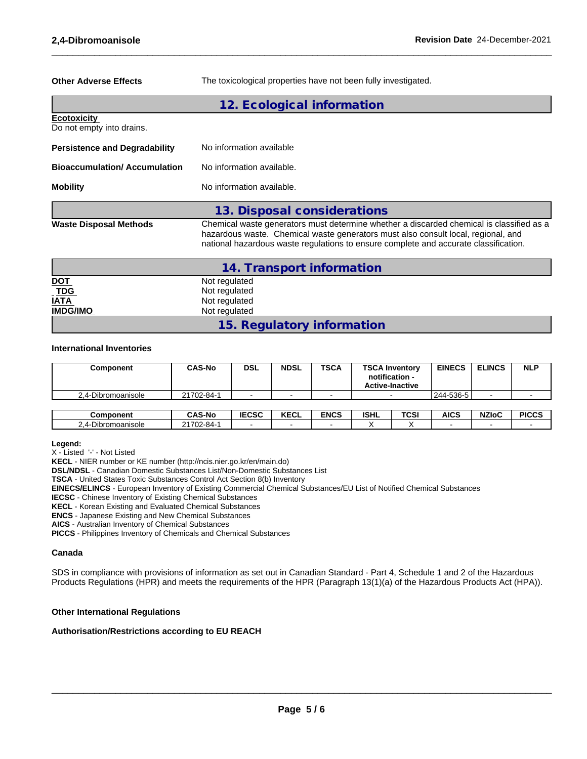**Other Adverse Effects** The toxicological properties have not been fully investigated.

 $\_$  ,  $\_$  ,  $\_$  ,  $\_$  ,  $\_$  ,  $\_$  ,  $\_$  ,  $\_$  ,  $\_$  ,  $\_$  ,  $\_$  ,  $\_$  ,  $\_$  ,  $\_$  ,  $\_$  ,  $\_$  ,  $\_$  ,  $\_$  ,  $\_$  ,  $\_$  ,  $\_$  ,  $\_$  ,  $\_$  ,  $\_$  ,  $\_$  ,  $\_$  ,  $\_$  ,  $\_$  ,  $\_$  ,  $\_$  ,  $\_$  ,  $\_$  ,  $\_$  ,  $\_$  ,  $\_$  ,  $\_$  ,  $\_$  ,

# **12. Ecological information Ecotoxicity**  Do not empty into drains. **Persistence and Degradability** No information available **Bioaccumulation/ Accumulation** No information available. **Mobility** No information available. **13. Disposal considerations Waste Disposal Methods** Chemical waste generators must determine whether a discarded chemical is classified as a hazardous waste. Chemical waste generators must also consult local, regional, and national hazardous waste regulations to ensure complete and accurate classification.

|                              | 14. Transport information  |
|------------------------------|----------------------------|
| <u>DOT</u>                   | Not regulated              |
| $\underline{\overline{TDG}}$ | Not regulated              |
| <b>IATA</b>                  | Not regulated              |
| <b>IMDG/IMO</b>              | Not regulated              |
|                              | 15. Regulatory information |

## **International Inventories**

| Component          | <b>CAS-No</b> | <b>DSL</b> | <b>NDSL</b> | <b>TSCA</b> | <b>TSCA Inventory</b><br>notification -<br><b>Active-Inactive</b> | <b>EINECS</b> | <b>ELINCS</b> | <b>NLP</b> |
|--------------------|---------------|------------|-------------|-------------|-------------------------------------------------------------------|---------------|---------------|------------|
| 2.4-Dibromoanisole | 21702-84-1    |            |             |             | -                                                                 | 244-536-5     |               |            |
|                    |               |            |             |             |                                                                   |               |               |            |

| <b>Component</b>                        | <b>CAS-No</b>            | 5000<br>ᇆᇰᇰ | <b>KEAL</b><br><b>KECL</b> | <b>ENCS</b> | <b>ISHL</b> | <b>TCSI</b> | AICS | <b>NZIoC</b> | <b>PICCS</b> |
|-----------------------------------------|--------------------------|-------------|----------------------------|-------------|-------------|-------------|------|--------------|--------------|
| $-$<br>romoanisole<br>$\mu$<br>◡<br>. . | 0.470c<br>- 284-∆ .<br>. |             |                            |             |             |             |      |              |              |

#### **Legend:**

X - Listed '-' - Not Listed

**KECL** - NIER number or KE number (http://ncis.nier.go.kr/en/main.do)

**DSL/NDSL** - Canadian Domestic Substances List/Non-Domestic Substances List

**TSCA** - United States Toxic Substances Control Act Section 8(b) Inventory

**EINECS/ELINCS** - European Inventory of Existing Commercial Chemical Substances/EU List of Notified Chemical Substances

**IECSC** - Chinese Inventory of Existing Chemical Substances

**KECL** - Korean Existing and Evaluated Chemical Substances

**ENCS** - Japanese Existing and New Chemical Substances

**AICS** - Australian Inventory of Chemical Substances

**PICCS** - Philippines Inventory of Chemicals and Chemical Substances

## **Canada**

SDS in compliance with provisions of information as set out in Canadian Standard - Part 4, Schedule 1 and 2 of the Hazardous Products Regulations (HPR) and meets the requirements of the HPR (Paragraph 13(1)(a) of the Hazardous Products Act (HPA)).

## **Other International Regulations**

## **Authorisation/Restrictions according to EU REACH**